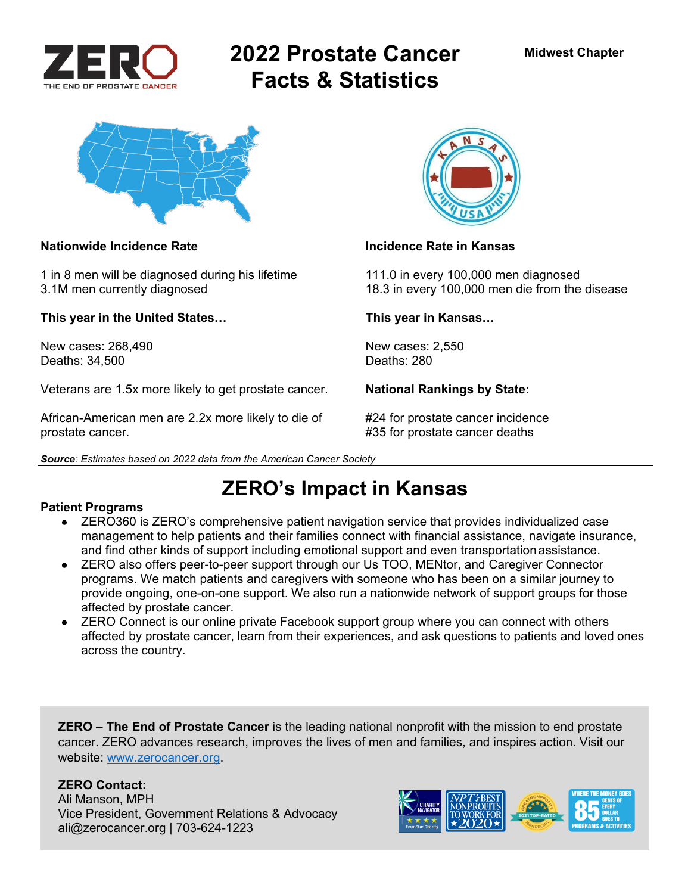

# **2022 Prostate Cancer Facts & Statistics**



#### **Nationwide Incidence Rate Incidence Rate in Kansas**

1 in 8 men will be diagnosed during his lifetime 111.0 in every 100,000 men diagnosed

**This year in the United States… This year in Kansas…** 

New cases: 268,490 New cases: 2,550<br>Deaths: 34.500 Deaths: 280 Deaths: 34,500

Veterans are 1.5x more likely to get prostate cancer. **National Rankings by State:** 

African-American men are 2.2x more likely to die of #24 for prostate cancer incidence prostate cancer. #35 for prostate cancer deaths

*Source: Estimates based on 2022 data from the American Cancer Society* 



3.1M men currently diagnosed 18.3 in every 100,000 men die from the disease

# **ZERO's Impact in Kansas**

#### **Patient Programs**

- ZERO360 is ZERO's comprehensive patient navigation service that provides individualized case management to help patients and their families connect with financial assistance, navigate insurance, and find other kinds of support including emotional support and even transportation assistance.
- ZERO also offers peer-to-peer support through our Us TOO, MENtor, and Caregiver Connector programs. We match patients and caregivers with someone who has been on a similar journey to provide ongoing, one-on-one support. We also run a nationwide network of support groups for those affected by prostate cancer.
- ZERO Connect is our online private Facebook support group where you can connect with others affected by prostate cancer, learn from their experiences, and ask questions to patients and loved ones across the country.

**ZERO – The End of Prostate Cancer** is the leading national nonprofit with the mission to end prostate cancer. ZERO advances research, improves the lives of men and families, and inspires action. Visit our website: www.zerocancer.org.

### **ZERO Contact:**

Ali Manson, MPH Vice President, Government Relations & Advocacy ali@zerocancer.org | 703-624-1223